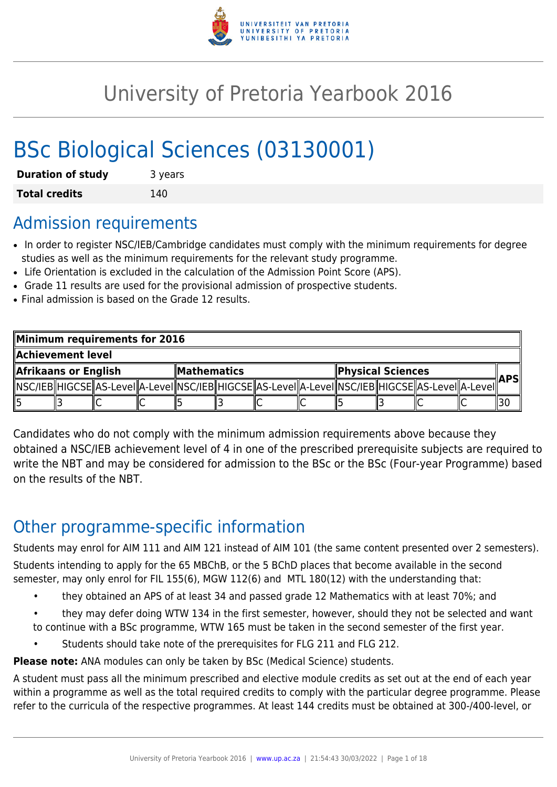

# University of Pretoria Yearbook 2016

# BSc Biological Sciences (03130001)

| <b>Duration of study</b> | 3 years |
|--------------------------|---------|
| <b>Total credits</b>     | 140     |

## Admission requirements

- In order to register NSC/IEB/Cambridge candidates must comply with the minimum requirements for degree studies as well as the minimum requirements for the relevant study programme.
- Life Orientation is excluded in the calculation of the Admission Point Score (APS).
- Grade 11 results are used for the provisional admission of prospective students.
- Final admission is based on the Grade 12 results.

| Minimum requirements for 2016 |  |  |  |  |                                         |  |  |  |                                                                                                              |  |     |
|-------------------------------|--|--|--|--|-----------------------------------------|--|--|--|--------------------------------------------------------------------------------------------------------------|--|-----|
| Achievement level             |  |  |  |  |                                         |  |  |  |                                                                                                              |  |     |
| Afrikaans or English          |  |  |  |  | Physical Sciences<br><b>Mathematics</b> |  |  |  |                                                                                                              |  |     |
|                               |  |  |  |  |                                         |  |  |  | [ NSC/IEB  HIGCSE  AS-LeveI  A-LeveI  NSC/IEB  HIGCSE  AS-LeveI  A-LeveI  NSC/IEB  HIGCSE  AS-LeveI  A-LeveI |  | APS |
|                               |  |  |  |  |                                         |  |  |  |                                                                                                              |  |     |

Candidates who do not comply with the minimum admission requirements above because they obtained a NSC/IEB achievement level of 4 in one of the prescribed prerequisite subjects are required to write the NBT and may be considered for admission to the BSc or the BSc (Four-year Programme) based on the results of the NBT.

## Other programme-specific information

Students may enrol for AIM 111 and AIM 121 instead of AIM 101 (the same content presented over 2 semesters).

Students intending to apply for the 65 MBChB, or the 5 BChD places that become available in the second semester, may only enrol for FIL 155(6), MGW 112(6) and MTL 180(12) with the understanding that:

- they obtained an APS of at least 34 and passed grade 12 Mathematics with at least 70%; and
- they may defer doing WTW 134 in the first semester, however, should they not be selected and want to continue with a BSc programme, WTW 165 must be taken in the second semester of the first year.
	- Students should take note of the prerequisites for FLG 211 and FLG 212.

**Please note:** ANA modules can only be taken by BSc (Medical Science) students.

A student must pass all the minimum prescribed and elective module credits as set out at the end of each year within a programme as well as the total required credits to comply with the particular degree programme. Please refer to the curricula of the respective programmes. At least 144 credits must be obtained at 300-/400-level, or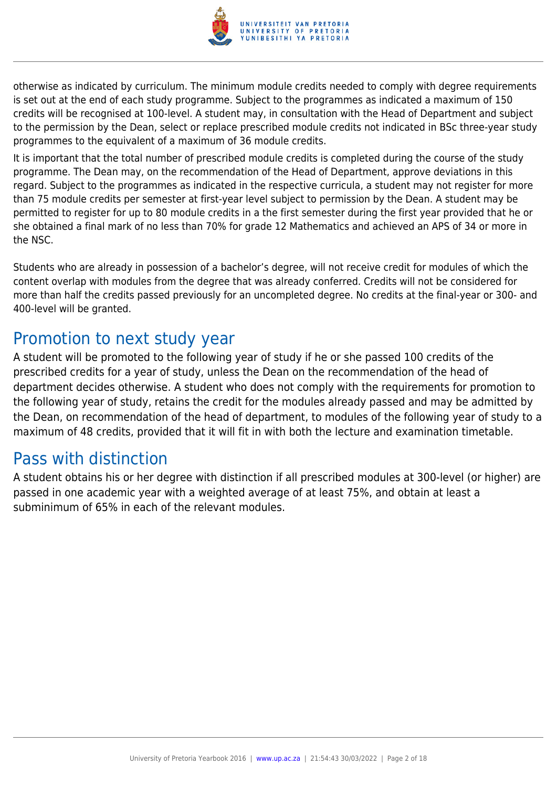

otherwise as indicated by curriculum. The minimum module credits needed to comply with degree requirements is set out at the end of each study programme. Subject to the programmes as indicated a maximum of 150 credits will be recognised at 100-level. A student may, in consultation with the Head of Department and subject to the permission by the Dean, select or replace prescribed module credits not indicated in BSc three-year study programmes to the equivalent of a maximum of 36 module credits.

It is important that the total number of prescribed module credits is completed during the course of the study programme. The Dean may, on the recommendation of the Head of Department, approve deviations in this regard. Subject to the programmes as indicated in the respective curricula, a student may not register for more than 75 module credits per semester at first-year level subject to permission by the Dean. A student may be permitted to register for up to 80 module credits in a the first semester during the first year provided that he or she obtained a final mark of no less than 70% for grade 12 Mathematics and achieved an APS of 34 or more in the NSC.

Students who are already in possession of a bachelor's degree, will not receive credit for modules of which the content overlap with modules from the degree that was already conferred. Credits will not be considered for more than half the credits passed previously for an uncompleted degree. No credits at the final-year or 300- and 400-level will be granted.

## Promotion to next study year

A student will be promoted to the following year of study if he or she passed 100 credits of the prescribed credits for a year of study, unless the Dean on the recommendation of the head of department decides otherwise. A student who does not comply with the requirements for promotion to the following year of study, retains the credit for the modules already passed and may be admitted by the Dean, on recommendation of the head of department, to modules of the following year of study to a maximum of 48 credits, provided that it will fit in with both the lecture and examination timetable.

## Pass with distinction

A student obtains his or her degree with distinction if all prescribed modules at 300-level (or higher) are passed in one academic year with a weighted average of at least 75%, and obtain at least a subminimum of 65% in each of the relevant modules.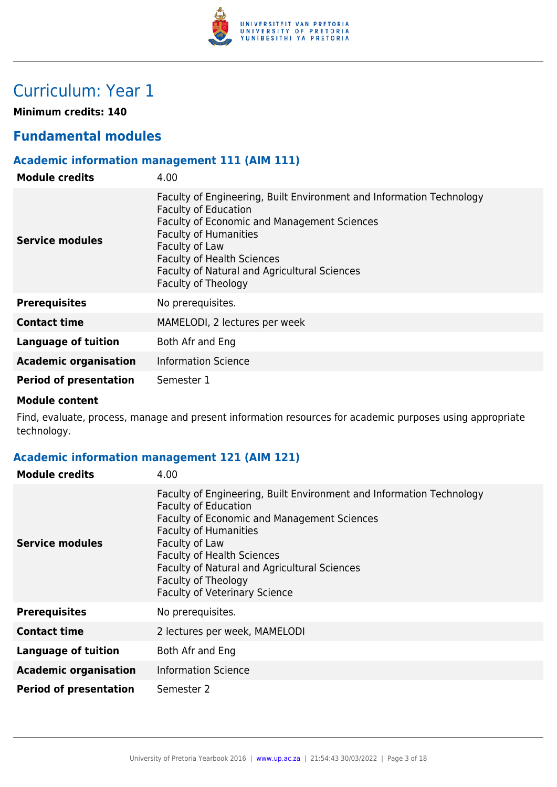

## Curriculum: Year 1

**Minimum credits: 140**

## **Fundamental modules**

### **Academic information management 111 (AIM 111)**

| <b>Module credits</b>         | 4.00                                                                                                                                                                                                                                                                                                                           |
|-------------------------------|--------------------------------------------------------------------------------------------------------------------------------------------------------------------------------------------------------------------------------------------------------------------------------------------------------------------------------|
| Service modules               | Faculty of Engineering, Built Environment and Information Technology<br><b>Faculty of Education</b><br><b>Faculty of Economic and Management Sciences</b><br><b>Faculty of Humanities</b><br>Faculty of Law<br><b>Faculty of Health Sciences</b><br><b>Faculty of Natural and Agricultural Sciences</b><br>Faculty of Theology |
| <b>Prerequisites</b>          | No prerequisites.                                                                                                                                                                                                                                                                                                              |
| <b>Contact time</b>           | MAMELODI, 2 lectures per week                                                                                                                                                                                                                                                                                                  |
| Language of tuition           | Both Afr and Eng                                                                                                                                                                                                                                                                                                               |
| <b>Academic organisation</b>  | <b>Information Science</b>                                                                                                                                                                                                                                                                                                     |
| <b>Period of presentation</b> | Semester 1                                                                                                                                                                                                                                                                                                                     |

#### **Module content**

Find, evaluate, process, manage and present information resources for academic purposes using appropriate technology.

### **Academic information management 121 (AIM 121)**

| <b>Module credits</b>         | 4.00                                                                                                                                                                                                                                                                                                                                                     |
|-------------------------------|----------------------------------------------------------------------------------------------------------------------------------------------------------------------------------------------------------------------------------------------------------------------------------------------------------------------------------------------------------|
| Service modules               | Faculty of Engineering, Built Environment and Information Technology<br><b>Faculty of Education</b><br>Faculty of Economic and Management Sciences<br><b>Faculty of Humanities</b><br>Faculty of Law<br><b>Faculty of Health Sciences</b><br>Faculty of Natural and Agricultural Sciences<br>Faculty of Theology<br><b>Faculty of Veterinary Science</b> |
| <b>Prerequisites</b>          | No prerequisites.                                                                                                                                                                                                                                                                                                                                        |
| <b>Contact time</b>           | 2 lectures per week, MAMELODI                                                                                                                                                                                                                                                                                                                            |
| Language of tuition           | Both Afr and Eng                                                                                                                                                                                                                                                                                                                                         |
| <b>Academic organisation</b>  | <b>Information Science</b>                                                                                                                                                                                                                                                                                                                               |
| <b>Period of presentation</b> | Semester 2                                                                                                                                                                                                                                                                                                                                               |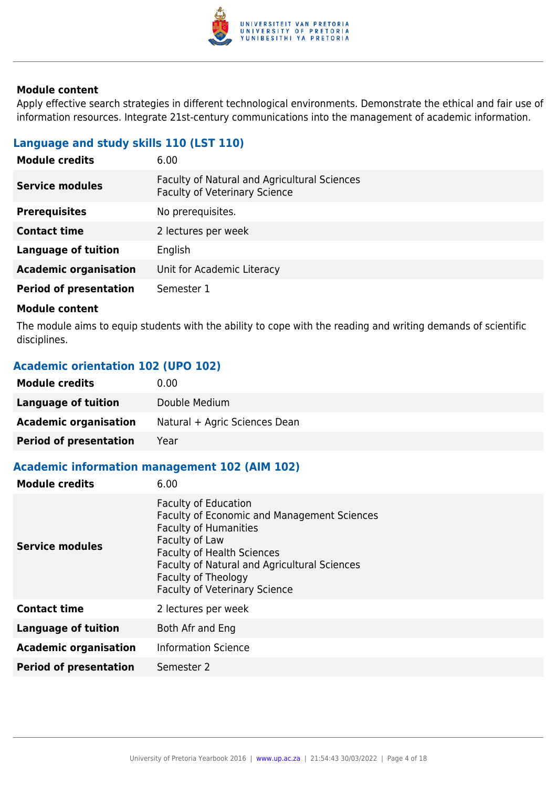

Apply effective search strategies in different technological environments. Demonstrate the ethical and fair use of information resources. Integrate 21st-century communications into the management of academic information.

### **Language and study skills 110 (LST 110)**

| 6.00                                                                                 |
|--------------------------------------------------------------------------------------|
| Faculty of Natural and Agricultural Sciences<br><b>Faculty of Veterinary Science</b> |
| No prerequisites.                                                                    |
| 2 lectures per week                                                                  |
| English                                                                              |
| Unit for Academic Literacy                                                           |
| Semester 1                                                                           |
|                                                                                      |

#### **Module content**

The module aims to equip students with the ability to cope with the reading and writing demands of scientific disciplines.

### **Academic orientation 102 (UPO 102)**

| <b>Module credits</b>         | 0.00                          |
|-------------------------------|-------------------------------|
| Language of tuition           | Double Medium                 |
| <b>Academic organisation</b>  | Natural + Agric Sciences Dean |
| <b>Period of presentation</b> | Year                          |

### **Academic information management 102 (AIM 102)**

| <b>Module credits</b>         | 6.00                                                                                                                                                                                                                                                                                    |
|-------------------------------|-----------------------------------------------------------------------------------------------------------------------------------------------------------------------------------------------------------------------------------------------------------------------------------------|
| <b>Service modules</b>        | <b>Faculty of Education</b><br><b>Faculty of Economic and Management Sciences</b><br><b>Faculty of Humanities</b><br>Faculty of Law<br><b>Faculty of Health Sciences</b><br>Faculty of Natural and Agricultural Sciences<br>Faculty of Theology<br><b>Faculty of Veterinary Science</b> |
| <b>Contact time</b>           | 2 lectures per week                                                                                                                                                                                                                                                                     |
| <b>Language of tuition</b>    | Both Afr and Eng                                                                                                                                                                                                                                                                        |
| <b>Academic organisation</b>  | <b>Information Science</b>                                                                                                                                                                                                                                                              |
| <b>Period of presentation</b> | Semester 2                                                                                                                                                                                                                                                                              |
|                               |                                                                                                                                                                                                                                                                                         |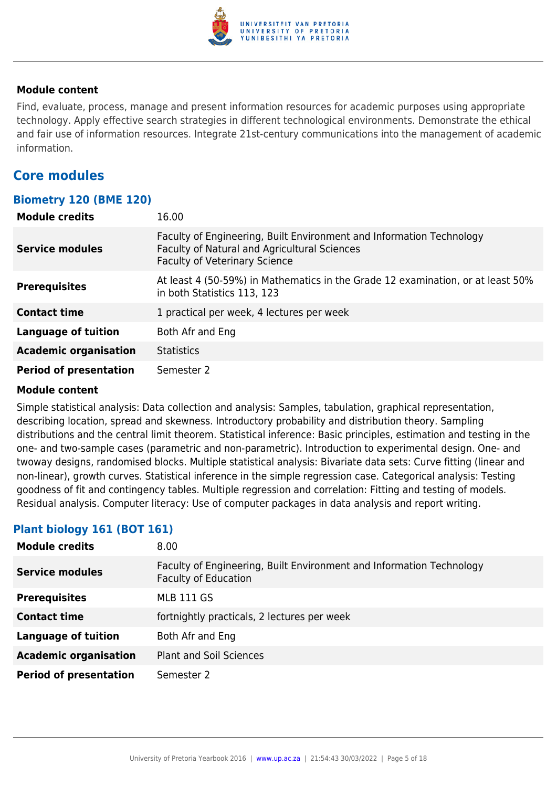

Find, evaluate, process, manage and present information resources for academic purposes using appropriate technology. Apply effective search strategies in different technological environments. Demonstrate the ethical and fair use of information resources. Integrate 21st-century communications into the management of academic information.

## **Core modules**

### **Biometry 120 (BME 120)**

| <b>Module credits</b>         | 16.00                                                                                                                                                        |
|-------------------------------|--------------------------------------------------------------------------------------------------------------------------------------------------------------|
| <b>Service modules</b>        | Faculty of Engineering, Built Environment and Information Technology<br>Faculty of Natural and Agricultural Sciences<br><b>Faculty of Veterinary Science</b> |
| <b>Prerequisites</b>          | At least 4 (50-59%) in Mathematics in the Grade 12 examination, or at least 50%<br>in both Statistics 113, 123                                               |
| <b>Contact time</b>           | 1 practical per week, 4 lectures per week                                                                                                                    |
| <b>Language of tuition</b>    | Both Afr and Eng                                                                                                                                             |
| <b>Academic organisation</b>  | <b>Statistics</b>                                                                                                                                            |
| <b>Period of presentation</b> | Semester 2                                                                                                                                                   |

#### **Module content**

Simple statistical analysis: Data collection and analysis: Samples, tabulation, graphical representation, describing location, spread and skewness. Introductory probability and distribution theory. Sampling distributions and the central limit theorem. Statistical inference: Basic principles, estimation and testing in the one- and two-sample cases (parametric and non-parametric). Introduction to experimental design. One- and twoway designs, randomised blocks. Multiple statistical analysis: Bivariate data sets: Curve fitting (linear and non-linear), growth curves. Statistical inference in the simple regression case. Categorical analysis: Testing goodness of fit and contingency tables. Multiple regression and correlation: Fitting and testing of models. Residual analysis. Computer literacy: Use of computer packages in data analysis and report writing.

### **Plant biology 161 (BOT 161)**

| <b>Module credits</b>         | 8.00                                                                                                |
|-------------------------------|-----------------------------------------------------------------------------------------------------|
| <b>Service modules</b>        | Faculty of Engineering, Built Environment and Information Technology<br><b>Faculty of Education</b> |
| <b>Prerequisites</b>          | <b>MLB 111 GS</b>                                                                                   |
| <b>Contact time</b>           | fortnightly practicals, 2 lectures per week                                                         |
| <b>Language of tuition</b>    | Both Afr and Eng                                                                                    |
| <b>Academic organisation</b>  | <b>Plant and Soil Sciences</b>                                                                      |
| <b>Period of presentation</b> | Semester 2                                                                                          |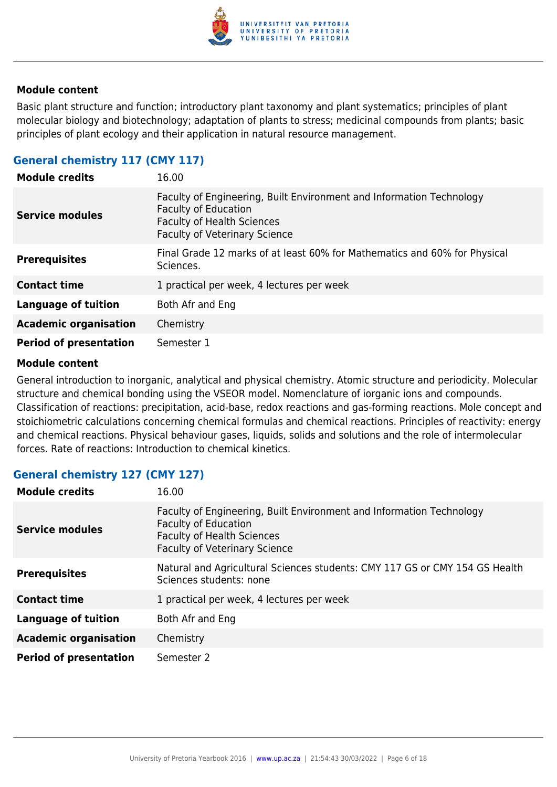

Basic plant structure and function; introductory plant taxonomy and plant systematics; principles of plant molecular biology and biotechnology; adaptation of plants to stress; medicinal compounds from plants; basic principles of plant ecology and their application in natural resource management.

#### **General chemistry 117 (CMY 117)**

| <b>Module credits</b>         | 16.00                                                                                                                                                                            |
|-------------------------------|----------------------------------------------------------------------------------------------------------------------------------------------------------------------------------|
| <b>Service modules</b>        | Faculty of Engineering, Built Environment and Information Technology<br><b>Faculty of Education</b><br><b>Faculty of Health Sciences</b><br><b>Faculty of Veterinary Science</b> |
| <b>Prerequisites</b>          | Final Grade 12 marks of at least 60% for Mathematics and 60% for Physical<br>Sciences.                                                                                           |
| <b>Contact time</b>           | 1 practical per week, 4 lectures per week                                                                                                                                        |
| <b>Language of tuition</b>    | Both Afr and Eng                                                                                                                                                                 |
| <b>Academic organisation</b>  | Chemistry                                                                                                                                                                        |
| <b>Period of presentation</b> | Semester 1                                                                                                                                                                       |

#### **Module content**

General introduction to inorganic, analytical and physical chemistry. Atomic structure and periodicity. Molecular structure and chemical bonding using the VSEOR model. Nomenclature of iorganic ions and compounds. Classification of reactions: precipitation, acid-base, redox reactions and gas-forming reactions. Mole concept and stoichiometric calculations concerning chemical formulas and chemical reactions. Principles of reactivity: energy and chemical reactions. Physical behaviour gases, liquids, solids and solutions and the role of intermolecular forces. Rate of reactions: Introduction to chemical kinetics.

#### **General chemistry 127 (CMY 127)**

| <b>Module credits</b>         | 16.00                                                                                                                                                                            |
|-------------------------------|----------------------------------------------------------------------------------------------------------------------------------------------------------------------------------|
| <b>Service modules</b>        | Faculty of Engineering, Built Environment and Information Technology<br><b>Faculty of Education</b><br><b>Faculty of Health Sciences</b><br><b>Faculty of Veterinary Science</b> |
| <b>Prerequisites</b>          | Natural and Agricultural Sciences students: CMY 117 GS or CMY 154 GS Health<br>Sciences students: none                                                                           |
| <b>Contact time</b>           | 1 practical per week, 4 lectures per week                                                                                                                                        |
| <b>Language of tuition</b>    | Both Afr and Eng                                                                                                                                                                 |
| <b>Academic organisation</b>  | Chemistry                                                                                                                                                                        |
| <b>Period of presentation</b> | Semester 2                                                                                                                                                                       |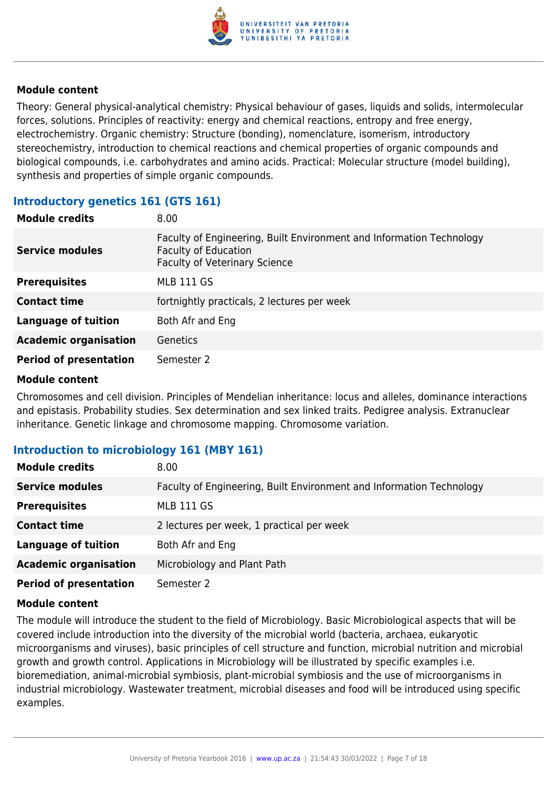

Theory: General physical-analytical chemistry: Physical behaviour of gases, liquids and solids, intermolecular forces, solutions. Principles of reactivity: energy and chemical reactions, entropy and free energy, electrochemistry. Organic chemistry: Structure (bonding), nomenclature, isomerism, introductory stereochemistry, introduction to chemical reactions and chemical properties of organic compounds and biological compounds, i.e. carbohydrates and amino acids. Practical: Molecular structure (model building), synthesis and properties of simple organic compounds.

#### **Introductory genetics 161 (GTS 161)**

| <b>Module credits</b>         | 8.00                                                                                                                                        |
|-------------------------------|---------------------------------------------------------------------------------------------------------------------------------------------|
| <b>Service modules</b>        | Faculty of Engineering, Built Environment and Information Technology<br><b>Faculty of Education</b><br><b>Faculty of Veterinary Science</b> |
| <b>Prerequisites</b>          | <b>MLB 111 GS</b>                                                                                                                           |
| <b>Contact time</b>           | fortnightly practicals, 2 lectures per week                                                                                                 |
| <b>Language of tuition</b>    | Both Afr and Eng                                                                                                                            |
| <b>Academic organisation</b>  | <b>Genetics</b>                                                                                                                             |
| <b>Period of presentation</b> | Semester 2                                                                                                                                  |

#### **Module content**

Chromosomes and cell division. Principles of Mendelian inheritance: locus and alleles, dominance interactions and epistasis. Probability studies. Sex determination and sex linked traits. Pedigree analysis. Extranuclear inheritance. Genetic linkage and chromosome mapping. Chromosome variation.

#### **Introduction to microbiology 161 (MBY 161)**

| <b>Module credits</b>         | 8.00 <sub>1</sub>                                                    |
|-------------------------------|----------------------------------------------------------------------|
| <b>Service modules</b>        | Faculty of Engineering, Built Environment and Information Technology |
| <b>Prerequisites</b>          | <b>MLB 111 GS</b>                                                    |
| <b>Contact time</b>           | 2 lectures per week, 1 practical per week                            |
| <b>Language of tuition</b>    | Both Afr and Eng                                                     |
| <b>Academic organisation</b>  | Microbiology and Plant Path                                          |
| <b>Period of presentation</b> | Semester 2                                                           |

#### **Module content**

The module will introduce the student to the field of Microbiology. Basic Microbiological aspects that will be covered include introduction into the diversity of the microbial world (bacteria, archaea, eukaryotic microorganisms and viruses), basic principles of cell structure and function, microbial nutrition and microbial growth and growth control. Applications in Microbiology will be illustrated by specific examples i.e. bioremediation, animal-microbial symbiosis, plant-microbial symbiosis and the use of microorganisms in industrial microbiology. Wastewater treatment, microbial diseases and food will be introduced using specific examples.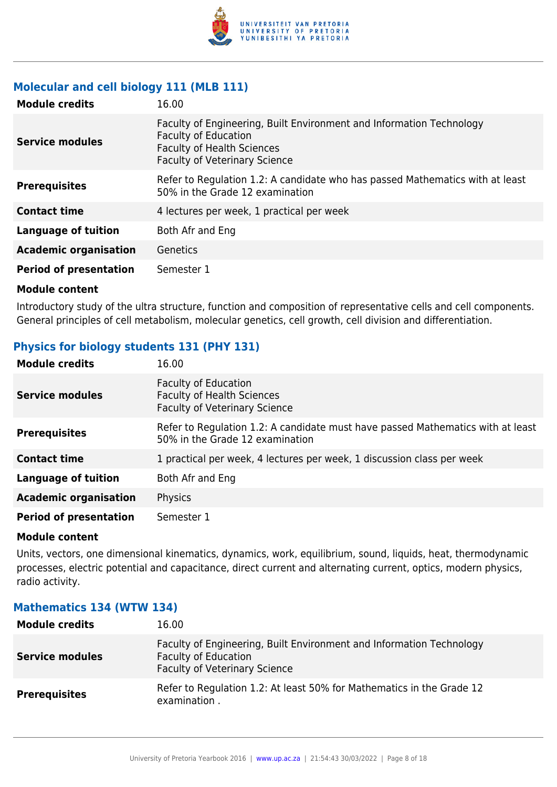

#### **Molecular and cell biology 111 (MLB 111)**

| <b>Module credits</b>         | 16.00                                                                                                                                                                            |
|-------------------------------|----------------------------------------------------------------------------------------------------------------------------------------------------------------------------------|
| <b>Service modules</b>        | Faculty of Engineering, Built Environment and Information Technology<br><b>Faculty of Education</b><br><b>Faculty of Health Sciences</b><br><b>Faculty of Veterinary Science</b> |
| <b>Prerequisites</b>          | Refer to Regulation 1.2: A candidate who has passed Mathematics with at least<br>50% in the Grade 12 examination                                                                 |
| <b>Contact time</b>           | 4 lectures per week, 1 practical per week                                                                                                                                        |
| <b>Language of tuition</b>    | Both Afr and Eng                                                                                                                                                                 |
| <b>Academic organisation</b>  | Genetics                                                                                                                                                                         |
| <b>Period of presentation</b> | Semester 1                                                                                                                                                                       |

#### **Module content**

Introductory study of the ultra structure, function and composition of representative cells and cell components. General principles of cell metabolism, molecular genetics, cell growth, cell division and differentiation.

### **Physics for biology students 131 (PHY 131)**

| <b>Module credits</b>         | 16.00                                                                                                              |
|-------------------------------|--------------------------------------------------------------------------------------------------------------------|
| <b>Service modules</b>        | <b>Faculty of Education</b><br><b>Faculty of Health Sciences</b><br><b>Faculty of Veterinary Science</b>           |
| <b>Prerequisites</b>          | Refer to Regulation 1.2: A candidate must have passed Mathematics with at least<br>50% in the Grade 12 examination |
| <b>Contact time</b>           | 1 practical per week, 4 lectures per week, 1 discussion class per week                                             |
| <b>Language of tuition</b>    | Both Afr and Eng                                                                                                   |
| <b>Academic organisation</b>  | Physics                                                                                                            |
| <b>Period of presentation</b> | Semester 1                                                                                                         |

#### **Module content**

Units, vectors, one dimensional kinematics, dynamics, work, equilibrium, sound, liquids, heat, thermodynamic processes, electric potential and capacitance, direct current and alternating current, optics, modern physics, radio activity.

#### **Module credits** 16.00 **Service modules** Faculty of Engineering, Built Environment and Information Technology Faculty of Education Faculty of Veterinary Science **Prerequisites** Refer to Regulation 1.2: At least 50% for Mathematics in the Grade 12 examination .

#### **Mathematics 134 (WTW 134)**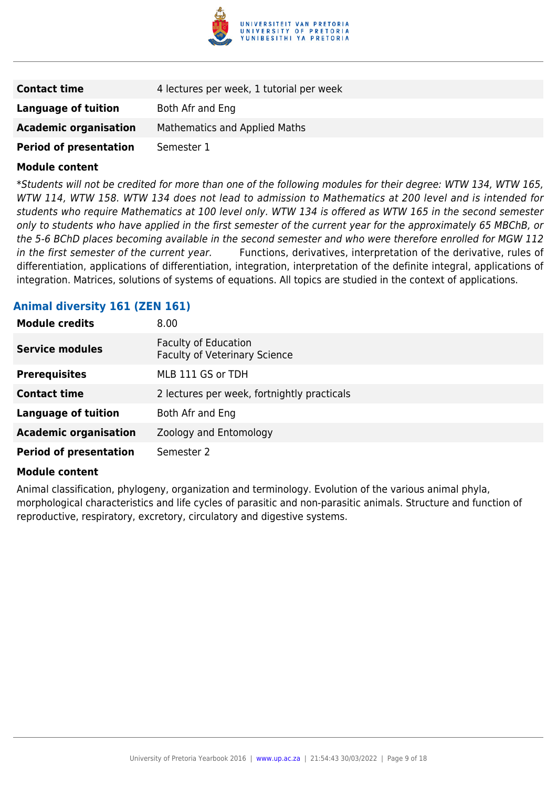

| <b>Contact time</b>           | 4 lectures per week, 1 tutorial per week |
|-------------------------------|------------------------------------------|
| Language of tuition           | Both Afr and Eng                         |
| <b>Academic organisation</b>  | Mathematics and Applied Maths            |
| <b>Period of presentation</b> | Semester 1                               |

\*Students will not be credited for more than one of the following modules for their degree: WTW 134, WTW 165, WTW 114, WTW 158. WTW 134 does not lead to admission to Mathematics at 200 level and is intended for students who require Mathematics at 100 level only. WTW 134 is offered as WTW 165 in the second semester only to students who have applied in the first semester of the current year for the approximately 65 MBChB, or the 5-6 BChD places becoming available in the second semester and who were therefore enrolled for MGW 112 in the first semester of the current year. Functions, derivatives, interpretation of the derivative, rules of differentiation, applications of differentiation, integration, interpretation of the definite integral, applications of integration. Matrices, solutions of systems of equations. All topics are studied in the context of applications.

#### **Animal diversity 161 (ZEN 161)**

| <b>Module credits</b>         | 8.00                                                                |
|-------------------------------|---------------------------------------------------------------------|
| <b>Service modules</b>        | <b>Faculty of Education</b><br><b>Faculty of Veterinary Science</b> |
| <b>Prerequisites</b>          | MLB 111 GS or TDH                                                   |
| <b>Contact time</b>           | 2 lectures per week, fortnightly practicals                         |
| <b>Language of tuition</b>    | Both Afr and Eng                                                    |
| <b>Academic organisation</b>  | Zoology and Entomology                                              |
| <b>Period of presentation</b> | Semester 2                                                          |

#### **Module content**

Animal classification, phylogeny, organization and terminology. Evolution of the various animal phyla, morphological characteristics and life cycles of parasitic and non-parasitic animals. Structure and function of reproductive, respiratory, excretory, circulatory and digestive systems.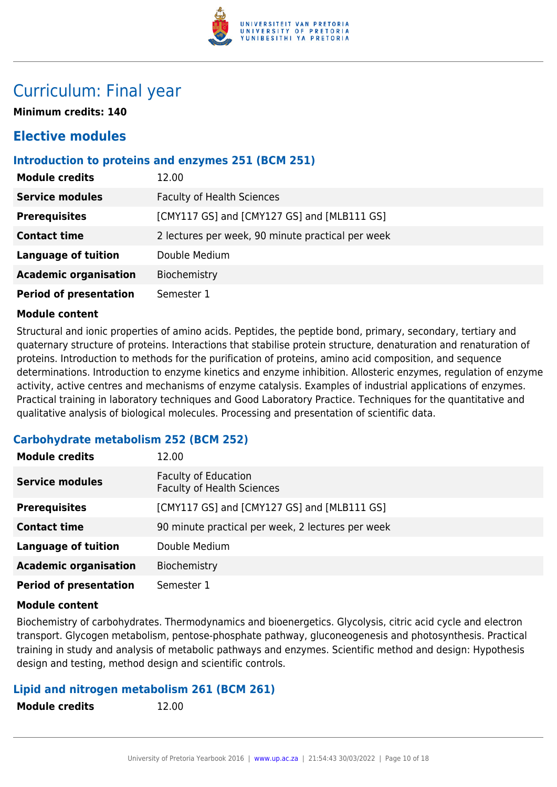

## Curriculum: Final year

**Minimum credits: 140**

## **Elective modules**

#### **Introduction to proteins and enzymes 251 (BCM 251)**

| <b>Module credits</b>         | 12.00                                             |
|-------------------------------|---------------------------------------------------|
| <b>Service modules</b>        | <b>Faculty of Health Sciences</b>                 |
| <b>Prerequisites</b>          | [CMY117 GS] and [CMY127 GS] and [MLB111 GS]       |
| <b>Contact time</b>           | 2 lectures per week, 90 minute practical per week |
| <b>Language of tuition</b>    | Double Medium                                     |
| <b>Academic organisation</b>  | Biochemistry                                      |
| <b>Period of presentation</b> | Semester 1                                        |

#### **Module content**

Structural and ionic properties of amino acids. Peptides, the peptide bond, primary, secondary, tertiary and quaternary structure of proteins. Interactions that stabilise protein structure, denaturation and renaturation of proteins. Introduction to methods for the purification of proteins, amino acid composition, and sequence determinations. Introduction to enzyme kinetics and enzyme inhibition. Allosteric enzymes, regulation of enzyme activity, active centres and mechanisms of enzyme catalysis. Examples of industrial applications of enzymes. Practical training in laboratory techniques and Good Laboratory Practice. Techniques for the quantitative and qualitative analysis of biological molecules. Processing and presentation of scientific data.

### **Carbohydrate metabolism 252 (BCM 252)**

| <b>Module credits</b>         | 12.00                                                            |
|-------------------------------|------------------------------------------------------------------|
| <b>Service modules</b>        | <b>Faculty of Education</b><br><b>Faculty of Health Sciences</b> |
| <b>Prerequisites</b>          | [CMY117 GS] and [CMY127 GS] and [MLB111 GS]                      |
| <b>Contact time</b>           | 90 minute practical per week, 2 lectures per week                |
| <b>Language of tuition</b>    | Double Medium                                                    |
| <b>Academic organisation</b>  | Biochemistry                                                     |
| <b>Period of presentation</b> | Semester 1                                                       |

#### **Module content**

Biochemistry of carbohydrates. Thermodynamics and bioenergetics. Glycolysis, citric acid cycle and electron transport. Glycogen metabolism, pentose-phosphate pathway, gluconeogenesis and photosynthesis. Practical training in study and analysis of metabolic pathways and enzymes. Scientific method and design: Hypothesis design and testing, method design and scientific controls.

#### **Lipid and nitrogen metabolism 261 (BCM 261)**

**Module credits** 12.00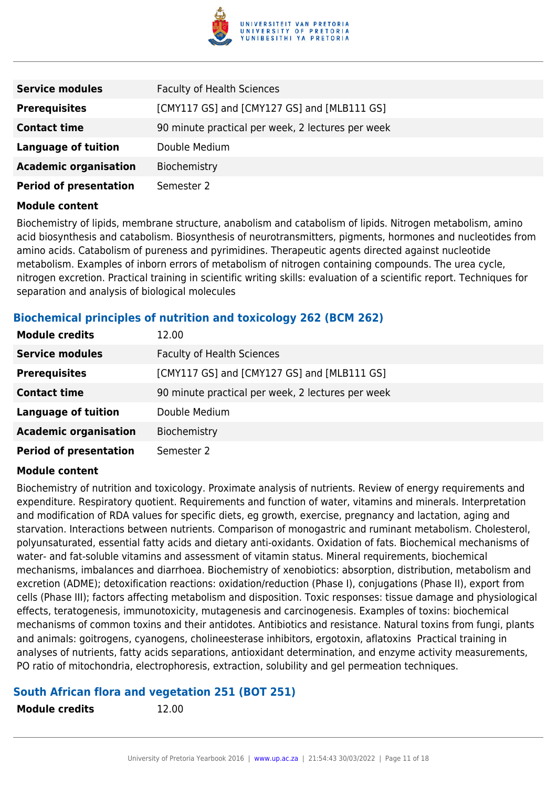

| <b>Service modules</b>        | <b>Faculty of Health Sciences</b>                 |
|-------------------------------|---------------------------------------------------|
| <b>Prerequisites</b>          | [CMY117 GS] and [CMY127 GS] and [MLB111 GS]       |
| <b>Contact time</b>           | 90 minute practical per week, 2 lectures per week |
| <b>Language of tuition</b>    | Double Medium                                     |
| <b>Academic organisation</b>  | Biochemistry                                      |
| <b>Period of presentation</b> | Semester 2                                        |

Biochemistry of lipids, membrane structure, anabolism and catabolism of lipids. Nitrogen metabolism, amino acid biosynthesis and catabolism. Biosynthesis of neurotransmitters, pigments, hormones and nucleotides from amino acids. Catabolism of pureness and pyrimidines. Therapeutic agents directed against nucleotide metabolism. Examples of inborn errors of metabolism of nitrogen containing compounds. The urea cycle, nitrogen excretion. Practical training in scientific writing skills: evaluation of a scientific report. Techniques for separation and analysis of biological molecules

### **Biochemical principles of nutrition and toxicology 262 (BCM 262)**

| <b>Module credits</b>         | 12.00                                             |
|-------------------------------|---------------------------------------------------|
| <b>Service modules</b>        | <b>Faculty of Health Sciences</b>                 |
| <b>Prerequisites</b>          | [CMY117 GS] and [CMY127 GS] and [MLB111 GS]       |
| <b>Contact time</b>           | 90 minute practical per week, 2 lectures per week |
| <b>Language of tuition</b>    | Double Medium                                     |
| <b>Academic organisation</b>  | Biochemistry                                      |
| <b>Period of presentation</b> | Semester 2                                        |

#### **Module content**

Biochemistry of nutrition and toxicology. Proximate analysis of nutrients. Review of energy requirements and expenditure. Respiratory quotient. Requirements and function of water, vitamins and minerals. Interpretation and modification of RDA values for specific diets, eg growth, exercise, pregnancy and lactation, aging and starvation. Interactions between nutrients. Comparison of monogastric and ruminant metabolism. Cholesterol, polyunsaturated, essential fatty acids and dietary anti-oxidants. Oxidation of fats. Biochemical mechanisms of water- and fat-soluble vitamins and assessment of vitamin status. Mineral requirements, biochemical mechanisms, imbalances and diarrhoea. Biochemistry of xenobiotics: absorption, distribution, metabolism and excretion (ADME); detoxification reactions: oxidation/reduction (Phase I), conjugations (Phase II), export from cells (Phase III); factors affecting metabolism and disposition. Toxic responses: tissue damage and physiological effects, teratogenesis, immunotoxicity, mutagenesis and carcinogenesis. Examples of toxins: biochemical mechanisms of common toxins and their antidotes. Antibiotics and resistance. Natural toxins from fungi, plants and animals: goitrogens, cyanogens, cholineesterase inhibitors, ergotoxin, aflatoxins Practical training in analyses of nutrients, fatty acids separations, antioxidant determination, and enzyme activity measurements, PO ratio of mitochondria, electrophoresis, extraction, solubility and gel permeation techniques.

#### **South African flora and vegetation 251 (BOT 251)**

**Module credits** 12.00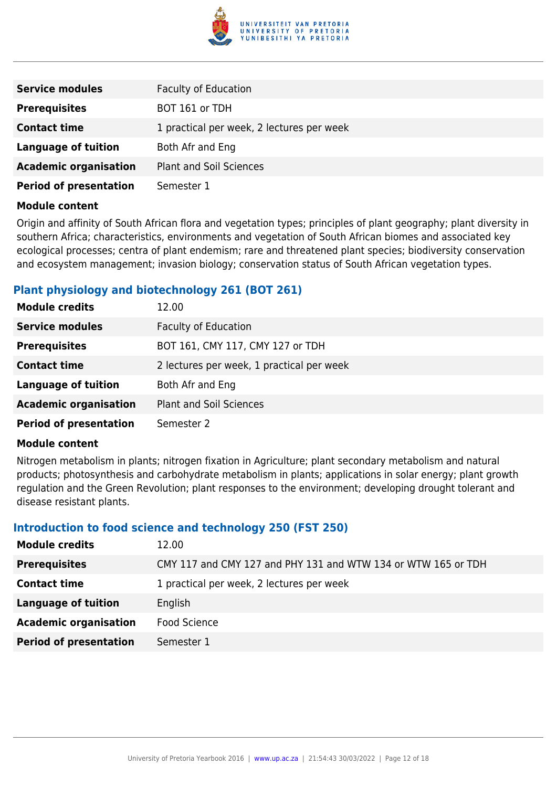

| <b>Service modules</b>        | <b>Faculty of Education</b>               |
|-------------------------------|-------------------------------------------|
| <b>Prerequisites</b>          | BOT 161 or TDH                            |
| <b>Contact time</b>           | 1 practical per week, 2 lectures per week |
| <b>Language of tuition</b>    | Both Afr and Eng                          |
| <b>Academic organisation</b>  | <b>Plant and Soil Sciences</b>            |
| <b>Period of presentation</b> | Semester 1                                |

Origin and affinity of South African flora and vegetation types; principles of plant geography; plant diversity in southern Africa; characteristics, environments and vegetation of South African biomes and associated key ecological processes; centra of plant endemism; rare and threatened plant species; biodiversity conservation and ecosystem management; invasion biology; conservation status of South African vegetation types.

### **Plant physiology and biotechnology 261 (BOT 261)**

| <b>Module credits</b>         | 12.00                                     |
|-------------------------------|-------------------------------------------|
| <b>Service modules</b>        | <b>Faculty of Education</b>               |
| <b>Prerequisites</b>          | BOT 161, CMY 117, CMY 127 or TDH          |
| <b>Contact time</b>           | 2 lectures per week, 1 practical per week |
| <b>Language of tuition</b>    | Both Afr and Eng                          |
| <b>Academic organisation</b>  | <b>Plant and Soil Sciences</b>            |
| <b>Period of presentation</b> | Semester 2                                |

#### **Module content**

Nitrogen metabolism in plants; nitrogen fixation in Agriculture; plant secondary metabolism and natural products; photosynthesis and carbohydrate metabolism in plants; applications in solar energy; plant growth regulation and the Green Revolution; plant responses to the environment; developing drought tolerant and disease resistant plants.

#### **Introduction to food science and technology 250 (FST 250)**

| <b>Module credits</b>         | 12.00                                                         |
|-------------------------------|---------------------------------------------------------------|
| <b>Prerequisites</b>          | CMY 117 and CMY 127 and PHY 131 and WTW 134 or WTW 165 or TDH |
| <b>Contact time</b>           | 1 practical per week, 2 lectures per week                     |
| <b>Language of tuition</b>    | English                                                       |
| <b>Academic organisation</b>  | Food Science                                                  |
| <b>Period of presentation</b> | Semester 1                                                    |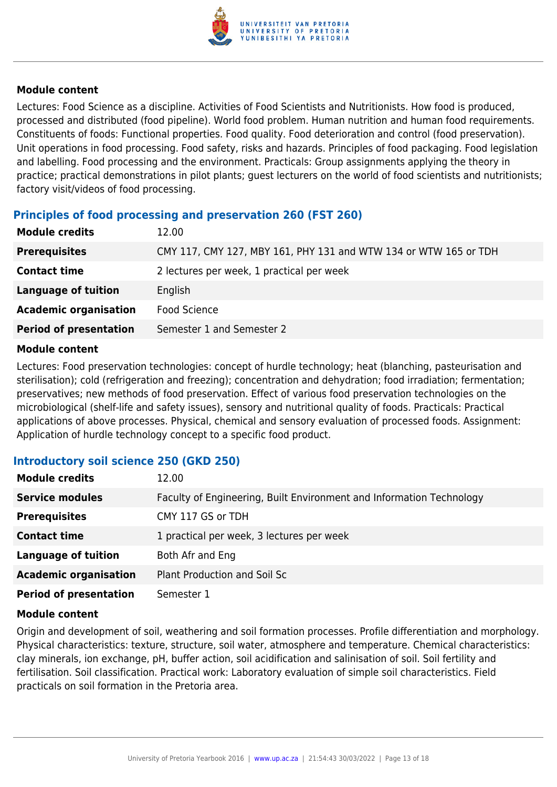

Lectures: Food Science as a discipline. Activities of Food Scientists and Nutritionists. How food is produced, processed and distributed (food pipeline). World food problem. Human nutrition and human food requirements. Constituents of foods: Functional properties. Food quality. Food deterioration and control (food preservation). Unit operations in food processing. Food safety, risks and hazards. Principles of food packaging. Food legislation and labelling. Food processing and the environment. Practicals: Group assignments applying the theory in practice; practical demonstrations in pilot plants; guest lecturers on the world of food scientists and nutritionists; factory visit/videos of food processing.

#### **Principles of food processing and preservation 260 (FST 260)**

| 12.00                                                            |
|------------------------------------------------------------------|
| CMY 117, CMY 127, MBY 161, PHY 131 and WTW 134 or WTW 165 or TDH |
| 2 lectures per week, 1 practical per week                        |
| English                                                          |
| <b>Food Science</b>                                              |
| Semester 1 and Semester 2                                        |
|                                                                  |

#### **Module content**

Lectures: Food preservation technologies: concept of hurdle technology; heat (blanching, pasteurisation and sterilisation); cold (refrigeration and freezing); concentration and dehydration; food irradiation; fermentation; preservatives; new methods of food preservation. Effect of various food preservation technologies on the microbiological (shelf-life and safety issues), sensory and nutritional quality of foods. Practicals: Practical applications of above processes. Physical, chemical and sensory evaluation of processed foods. Assignment: Application of hurdle technology concept to a specific food product.

### **Introductory soil science 250 (GKD 250)**

| <b>Module credits</b>         | 12.00                                                                |
|-------------------------------|----------------------------------------------------------------------|
| <b>Service modules</b>        | Faculty of Engineering, Built Environment and Information Technology |
| <b>Prerequisites</b>          | CMY 117 GS or TDH                                                    |
| <b>Contact time</b>           | 1 practical per week, 3 lectures per week                            |
| <b>Language of tuition</b>    | Both Afr and Eng                                                     |
| <b>Academic organisation</b>  | Plant Production and Soil Sc                                         |
| <b>Period of presentation</b> | Semester 1                                                           |

#### **Module content**

Origin and development of soil, weathering and soil formation processes. Profile differentiation and morphology. Physical characteristics: texture, structure, soil water, atmosphere and temperature. Chemical characteristics: clay minerals, ion exchange, pH, buffer action, soil acidification and salinisation of soil. Soil fertility and fertilisation. Soil classification. Practical work: Laboratory evaluation of simple soil characteristics. Field practicals on soil formation in the Pretoria area.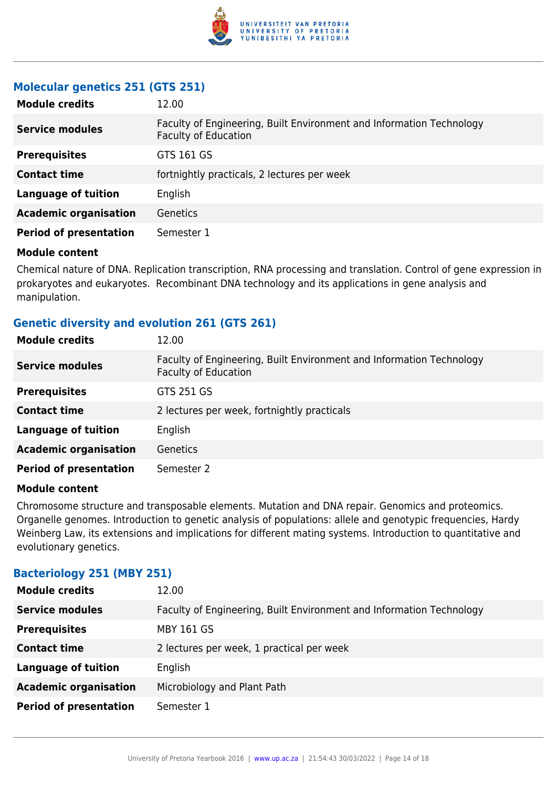

### **Molecular genetics 251 (GTS 251)**

| <b>Module credits</b>         | 12.00                                                                                               |
|-------------------------------|-----------------------------------------------------------------------------------------------------|
| <b>Service modules</b>        | Faculty of Engineering, Built Environment and Information Technology<br><b>Faculty of Education</b> |
| <b>Prerequisites</b>          | GTS 161 GS                                                                                          |
| <b>Contact time</b>           | fortnightly practicals, 2 lectures per week                                                         |
| <b>Language of tuition</b>    | English                                                                                             |
| <b>Academic organisation</b>  | <b>Genetics</b>                                                                                     |
| <b>Period of presentation</b> | Semester 1                                                                                          |

#### **Module content**

Chemical nature of DNA. Replication transcription, RNA processing and translation. Control of gene expression in prokaryotes and eukaryotes. Recombinant DNA technology and its applications in gene analysis and manipulation.

### **Genetic diversity and evolution 261 (GTS 261)**

| <b>Module credits</b>         | 12.00                                                                                               |
|-------------------------------|-----------------------------------------------------------------------------------------------------|
| <b>Service modules</b>        | Faculty of Engineering, Built Environment and Information Technology<br><b>Faculty of Education</b> |
| <b>Prerequisites</b>          | GTS 251 GS                                                                                          |
| <b>Contact time</b>           | 2 lectures per week, fortnightly practicals                                                         |
| <b>Language of tuition</b>    | English                                                                                             |
| <b>Academic organisation</b>  | <b>Genetics</b>                                                                                     |
| <b>Period of presentation</b> | Semester 2                                                                                          |

#### **Module content**

Chromosome structure and transposable elements. Mutation and DNA repair. Genomics and proteomics. Organelle genomes. Introduction to genetic analysis of populations: allele and genotypic frequencies, Hardy Weinberg Law, its extensions and implications for different mating systems. Introduction to quantitative and evolutionary genetics.

#### **Bacteriology 251 (MBY 251)**

| <b>Module credits</b>         | 12.00                                                                |
|-------------------------------|----------------------------------------------------------------------|
| <b>Service modules</b>        | Faculty of Engineering, Built Environment and Information Technology |
| <b>Prerequisites</b>          | <b>MBY 161 GS</b>                                                    |
| <b>Contact time</b>           | 2 lectures per week, 1 practical per week                            |
| <b>Language of tuition</b>    | English                                                              |
| <b>Academic organisation</b>  | Microbiology and Plant Path                                          |
| <b>Period of presentation</b> | Semester 1                                                           |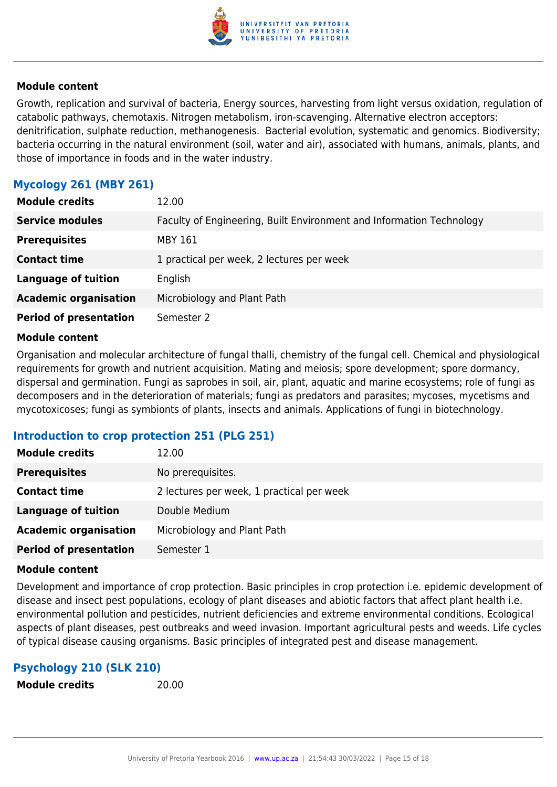

Growth, replication and survival of bacteria, Energy sources, harvesting from light versus oxidation, regulation of catabolic pathways, chemotaxis. Nitrogen metabolism, iron-scavenging. Alternative electron acceptors: denitrification, sulphate reduction, methanogenesis. Bacterial evolution, systematic and genomics. Biodiversity; bacteria occurring in the natural environment (soil, water and air), associated with humans, animals, plants, and those of importance in foods and in the water industry.

### **Mycology 261 (MBY 261)**

| <b>Module credits</b>         | 12.00                                                                |
|-------------------------------|----------------------------------------------------------------------|
| <b>Service modules</b>        | Faculty of Engineering, Built Environment and Information Technology |
| <b>Prerequisites</b>          | MBY 161                                                              |
| <b>Contact time</b>           | 1 practical per week, 2 lectures per week                            |
| <b>Language of tuition</b>    | English                                                              |
| <b>Academic organisation</b>  | Microbiology and Plant Path                                          |
| <b>Period of presentation</b> | Semester 2                                                           |

#### **Module content**

Organisation and molecular architecture of fungal thalli, chemistry of the fungal cell. Chemical and physiological requirements for growth and nutrient acquisition. Mating and meiosis; spore development; spore dormancy, dispersal and germination. Fungi as saprobes in soil, air, plant, aquatic and marine ecosystems; role of fungi as decomposers and in the deterioration of materials; fungi as predators and parasites; mycoses, mycetisms and mycotoxicoses; fungi as symbionts of plants, insects and animals. Applications of fungi in biotechnology.

#### **Introduction to crop protection 251 (PLG 251)**

| <b>Module credits</b>         | 12.00                                     |
|-------------------------------|-------------------------------------------|
| <b>Prerequisites</b>          | No prerequisites.                         |
| <b>Contact time</b>           | 2 lectures per week, 1 practical per week |
| Language of tuition           | Double Medium                             |
| <b>Academic organisation</b>  | Microbiology and Plant Path               |
| <b>Period of presentation</b> | Semester 1                                |

#### **Module content**

Development and importance of crop protection. Basic principles in crop protection i.e. epidemic development of disease and insect pest populations, ecology of plant diseases and abiotic factors that affect plant health i.e. environmental pollution and pesticides, nutrient deficiencies and extreme environmental conditions. Ecological aspects of plant diseases, pest outbreaks and weed invasion. Important agricultural pests and weeds. Life cycles of typical disease causing organisms. Basic principles of integrated pest and disease management.

### **Psychology 210 (SLK 210)**

```
Module credits 20.00
```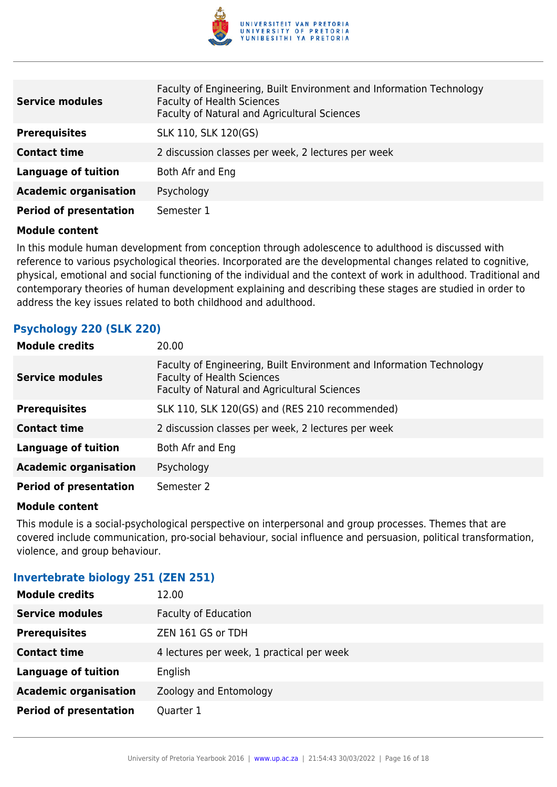

| <b>Service modules</b>        | Faculty of Engineering, Built Environment and Information Technology<br><b>Faculty of Health Sciences</b><br>Faculty of Natural and Agricultural Sciences |
|-------------------------------|-----------------------------------------------------------------------------------------------------------------------------------------------------------|
| <b>Prerequisites</b>          | SLK 110, SLK 120(GS)                                                                                                                                      |
| <b>Contact time</b>           | 2 discussion classes per week, 2 lectures per week                                                                                                        |
| <b>Language of tuition</b>    | Both Afr and Eng                                                                                                                                          |
| <b>Academic organisation</b>  | Psychology                                                                                                                                                |
| <b>Period of presentation</b> | Semester 1                                                                                                                                                |

In this module human development from conception through adolescence to adulthood is discussed with reference to various psychological theories. Incorporated are the developmental changes related to cognitive, physical, emotional and social functioning of the individual and the context of work in adulthood. Traditional and contemporary theories of human development explaining and describing these stages are studied in order to address the key issues related to both childhood and adulthood.

### **Psychology 220 (SLK 220)**

| <b>Module credits</b>         | 20.00                                                                                                                                                     |
|-------------------------------|-----------------------------------------------------------------------------------------------------------------------------------------------------------|
| <b>Service modules</b>        | Faculty of Engineering, Built Environment and Information Technology<br><b>Faculty of Health Sciences</b><br>Faculty of Natural and Agricultural Sciences |
| <b>Prerequisites</b>          | SLK 110, SLK 120(GS) and (RES 210 recommended)                                                                                                            |
| <b>Contact time</b>           | 2 discussion classes per week, 2 lectures per week                                                                                                        |
| Language of tuition           | Both Afr and Eng                                                                                                                                          |
| <b>Academic organisation</b>  | Psychology                                                                                                                                                |
| <b>Period of presentation</b> | Semester 2                                                                                                                                                |

#### **Module content**

This module is a social-psychological perspective on interpersonal and group processes. Themes that are covered include communication, pro-social behaviour, social influence and persuasion, political transformation, violence, and group behaviour.

### **Invertebrate biology 251 (ZEN 251)**

| <b>Module credits</b>         | 12.00                                     |
|-------------------------------|-------------------------------------------|
| <b>Service modules</b>        | <b>Faculty of Education</b>               |
| <b>Prerequisites</b>          | ZEN 161 GS or TDH                         |
| <b>Contact time</b>           | 4 lectures per week, 1 practical per week |
| <b>Language of tuition</b>    | English                                   |
| <b>Academic organisation</b>  | Zoology and Entomology                    |
| <b>Period of presentation</b> | Quarter 1                                 |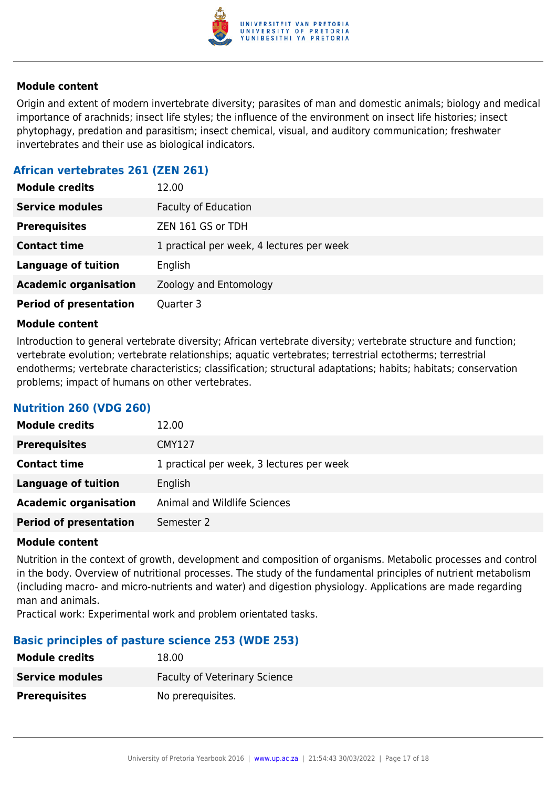

Origin and extent of modern invertebrate diversity; parasites of man and domestic animals; biology and medical importance of arachnids; insect life styles; the influence of the environment on insect life histories; insect phytophagy, predation and parasitism; insect chemical, visual, and auditory communication; freshwater invertebrates and their use as biological indicators.

### **African vertebrates 261 (ZEN 261)**

| <b>Module credits</b>         | 12.00                                     |
|-------------------------------|-------------------------------------------|
| <b>Service modules</b>        | <b>Faculty of Education</b>               |
| <b>Prerequisites</b>          | ZEN 161 GS or TDH                         |
| <b>Contact time</b>           | 1 practical per week, 4 lectures per week |
| <b>Language of tuition</b>    | English                                   |
| <b>Academic organisation</b>  | Zoology and Entomology                    |
| <b>Period of presentation</b> | Quarter 3                                 |

#### **Module content**

Introduction to general vertebrate diversity; African vertebrate diversity; vertebrate structure and function; vertebrate evolution; vertebrate relationships; aquatic vertebrates; terrestrial ectotherms; terrestrial endotherms; vertebrate characteristics; classification; structural adaptations; habits; habitats; conservation problems; impact of humans on other vertebrates.

### **Nutrition 260 (VDG 260)**

| <b>Module credits</b>         | 12.00                                     |
|-------------------------------|-------------------------------------------|
| <b>Prerequisites</b>          | <b>CMY127</b>                             |
| <b>Contact time</b>           | 1 practical per week, 3 lectures per week |
| <b>Language of tuition</b>    | English                                   |
| <b>Academic organisation</b>  | Animal and Wildlife Sciences              |
| <b>Period of presentation</b> | Semester 2                                |

#### **Module content**

Nutrition in the context of growth, development and composition of organisms. Metabolic processes and control in the body. Overview of nutritional processes. The study of the fundamental principles of nutrient metabolism (including macro- and micro-nutrients and water) and digestion physiology. Applications are made regarding man and animals.

Practical work: Experimental work and problem orientated tasks.

#### **Basic principles of pasture science 253 (WDE 253)**

| <b>Module credits</b>  | 18.00                                |
|------------------------|--------------------------------------|
| <b>Service modules</b> | <b>Faculty of Veterinary Science</b> |
| <b>Prerequisites</b>   | No prerequisites.                    |